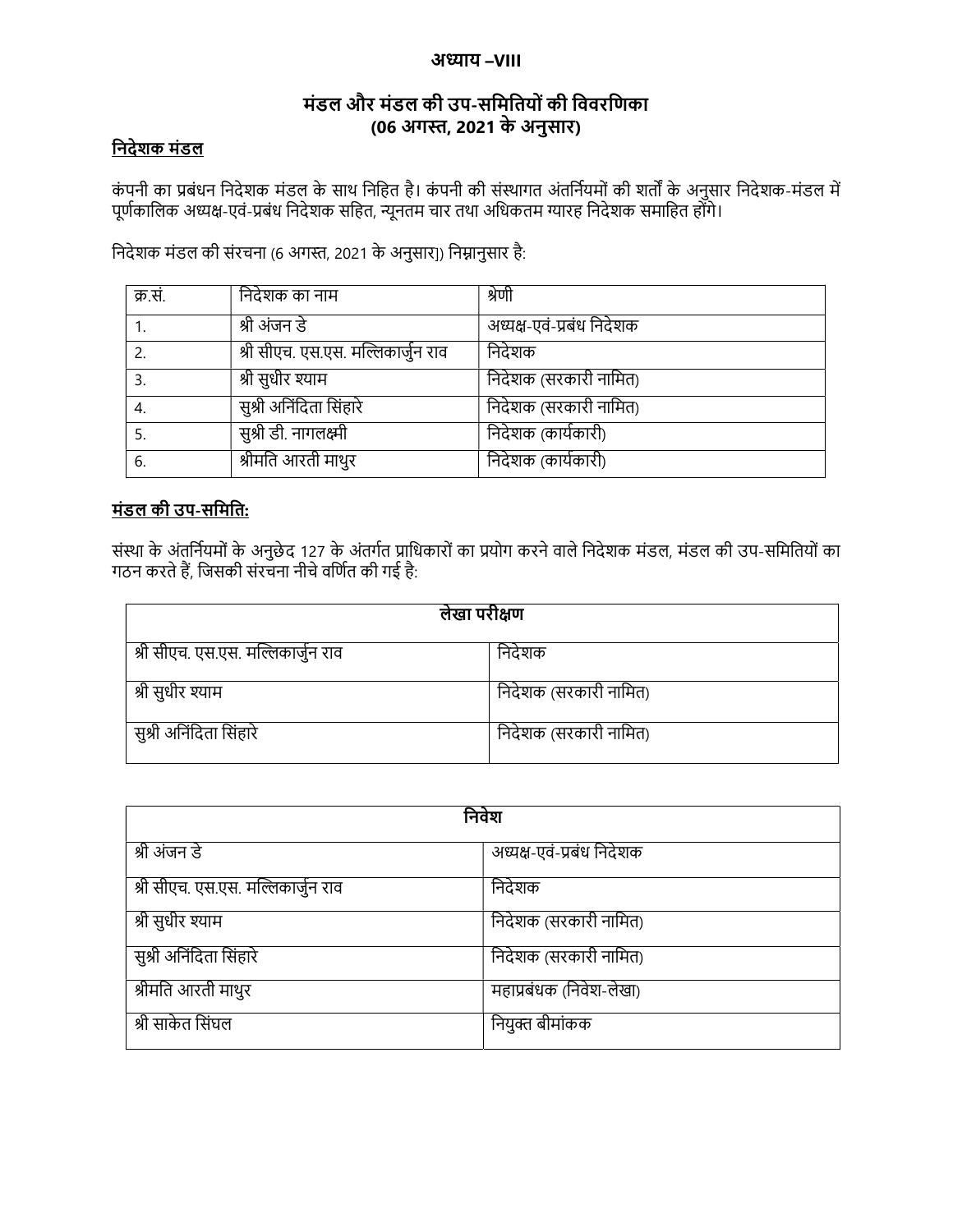### अध्याय –**VIII**

## मंडल और मंडल की उप-सिमितयोंकी िववरिणका (06 अगˑ, 2021 के अनुसार)

## िनदेशक मंडल

कंपनी का प्रबंधन निदेशक मंडल के साथ निहित है। कंपनी की संस्थागत अंतर्नियमों की शर्तों के अनुसार निदेशक-मंडल में पूर्णकालिक अध्यक्ष-एवं-प्रबंध निदेशक सहित, न्यूनतम चार तथा अधिकतम ग्यारह निदेशक समाहित होंगे।

निदेशक मंडल की संरचना (6 अगस्त, 2021 के अनुसार]) निम्नानुसार है:

| क्र.सं. | निदेशक का नाम                      | श्रेणी                    |
|---------|------------------------------------|---------------------------|
|         | श्री अंजन डे                       | अध्यक्ष-एवं-प्रबंध निदेशक |
|         | श्री सीएच. एस.एस. मल्लिकार्जुन राव | निदेशक                    |
|         | श्री सुधीर श्याम                   | निदेशक (सरकारी नामित)     |
| -4.     | सुश्री अनिंदिता सिंहारे            | निदेशक (सरकारी नामित)     |
|         | सुश्री डी. नागलक्ष्मी              | निदेशक (कार्यकारी)        |
| 6.      | श्रीमति आरती माथुर                 | निदेशक (कार्यकारी)        |

## मंडल की उप-सिमित:

संस्था के अंतर्नियमों के अनुछेद 127 के अंतर्गत प्राधिकारों का प्रयोग करने वाले निदेशक मंडल, मंडल की उप-समितियों का गठन करते हैं, जिसकी संरचना नीचे वर्णित की गई है:

| लेखा परीक्षण                       |                       |  |
|------------------------------------|-----------------------|--|
| श्री सीएच. एस.एस. मल्लिकार्जुन राव | निदेशक                |  |
| श्री सुधीर श्याम                   | निदेशक (सरकारी नामित) |  |
| सुश्री अनिंदिता सिंहारे            | निदेशक (सरकारी नामित) |  |

| निवेश                              |                           |  |
|------------------------------------|---------------------------|--|
| श्री अंजन डे                       | अध्यक्ष-एवं-प्रबंध निदेशक |  |
| श्री सीएच. एस.एस. मल्लिकार्जुन राव | निदेशक                    |  |
| श्री सुधीर श्याम                   | निदेशक (सरकारी नामित)     |  |
| सुश्री अनिंदिता सिंहारे            | निदेशक (सरकारी नामित)     |  |
| श्रीमति आरती माथुर                 | महाप्रबंधक (निवेश-लेखा)   |  |
| श्री साकेत सिंघल                   | नियुक्त बीमांकक           |  |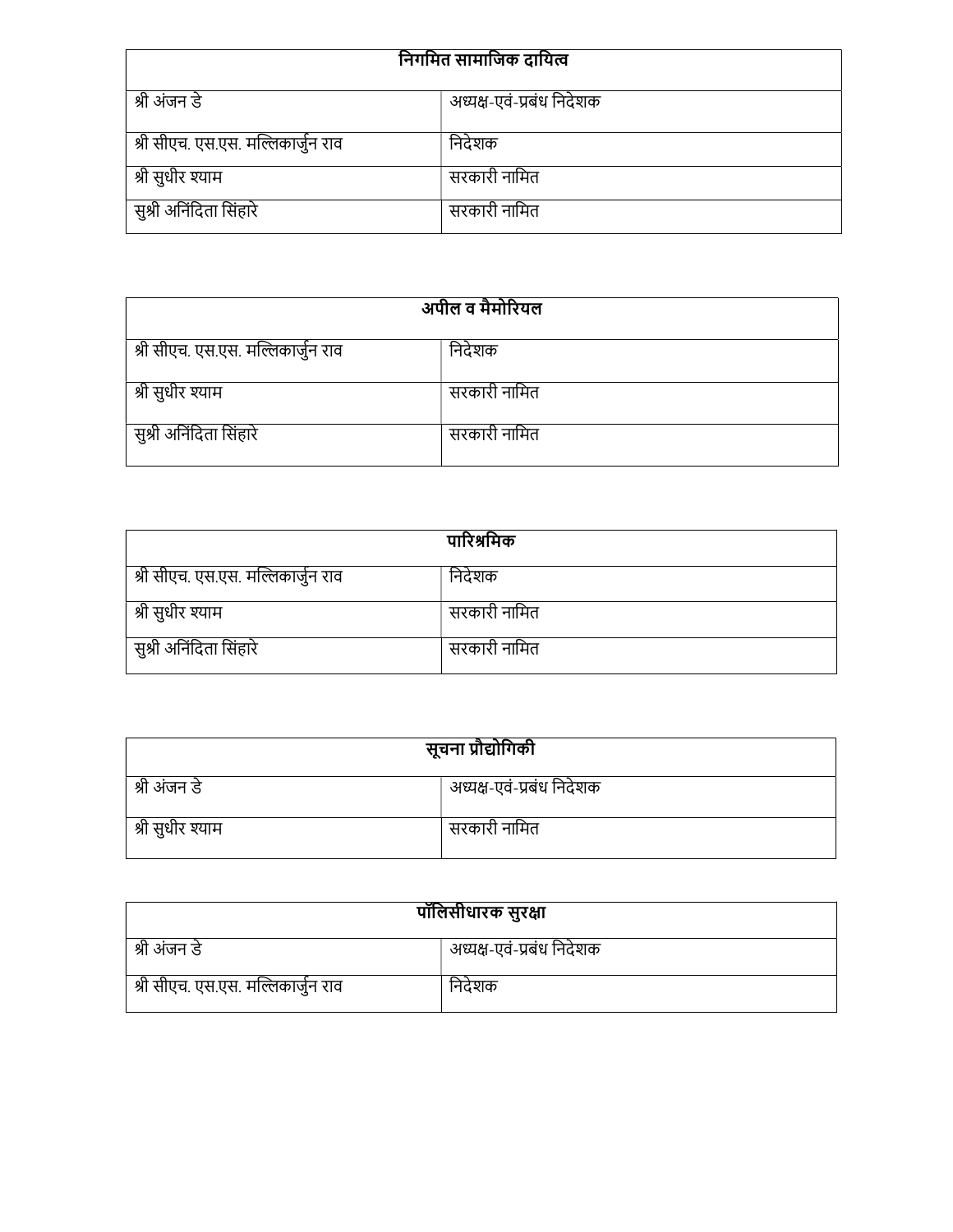| निगमित सामाजिक दायित्व                    |              |  |
|-------------------------------------------|--------------|--|
| अध्यक्ष-एवं-प्रबंध निदेशक<br>श्री अंजन डे |              |  |
| श्री सीएच. एस.एस. मल्लिकार्जुन राव        | निदेशक       |  |
| श्री सुधीर श्याम                          | सरकारी नामित |  |
| सुश्री अनिंदिता सिंहारे                   | सरकारी नामित |  |

| अपील व मैमोरियल                    |              |  |
|------------------------------------|--------------|--|
| श्री सीएच. एस.एस. मल्लिकार्जुन राव | निदेशक       |  |
| श्री सुधीर श्याम                   | सरकारी नामित |  |
| सुश्री अनिंदिता सिंहारे            | सरकारी नामित |  |

|                                    | पारिश्रमिक   |
|------------------------------------|--------------|
| श्री सीएच. एस.एस. मल्लिकार्जुन राव | निदेशक       |
| श्री सुधीर श्याम                   | सरकारी नामित |
| सुश्री अनिंदिता सिंहारे            | सरकारी नामित |

| सूचना प्रौद्योगिकी |                           |
|--------------------|---------------------------|
| श्री अंजन डे       | अध्यक्ष-एवं-प्रबंध निदेशक |
| श्री सुधीर श्याम   | सरकारी नामित              |

| पॉलिसीधारक सुरक्षा                 |                           |  |
|------------------------------------|---------------------------|--|
| श्री अंजन डे                       | अध्यक्ष-एवं-प्रबंध निदेशक |  |
| श्री सीएच. एस.एस. मल्लिकार्जुन राव | निदेशक                    |  |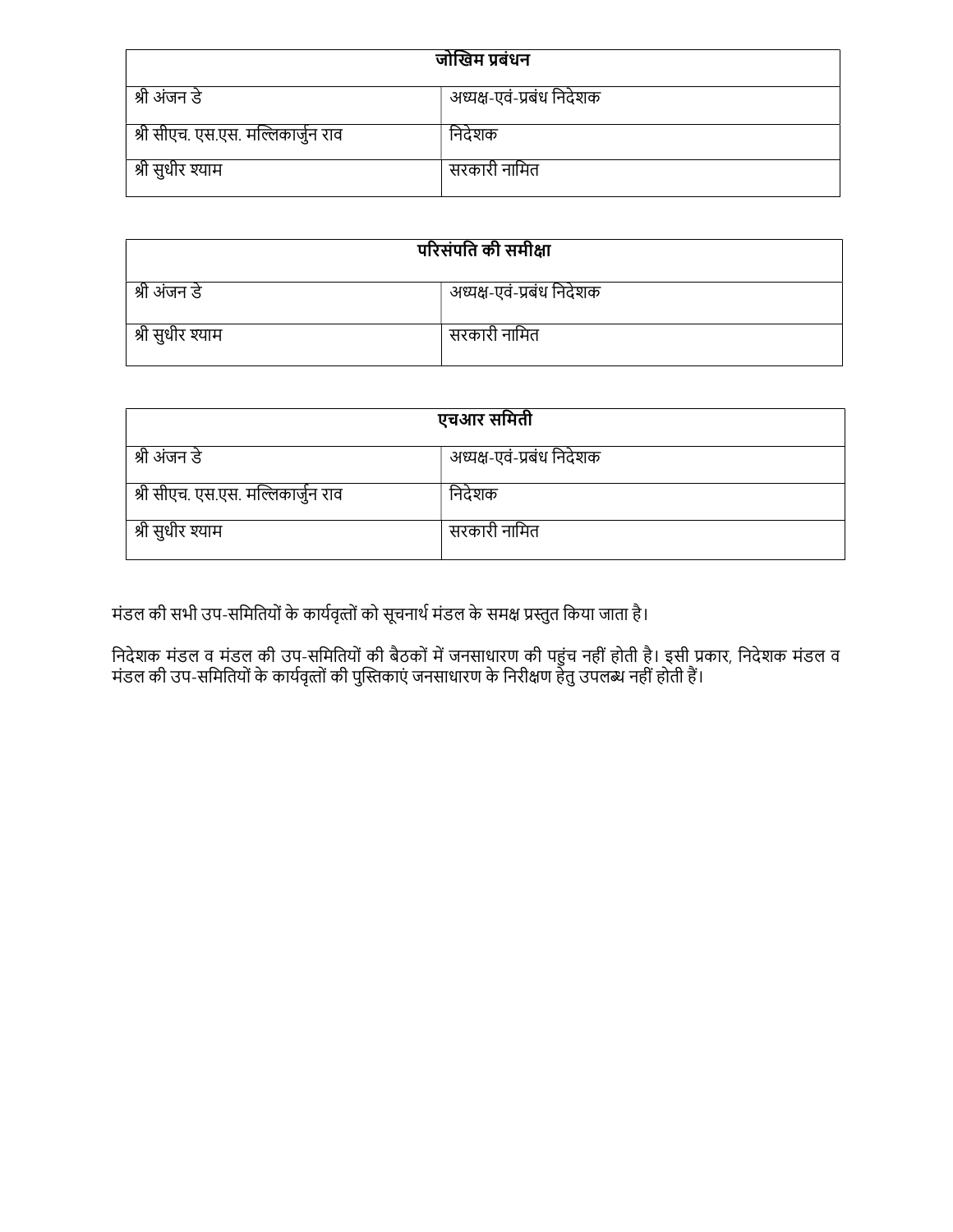| जोखिम प्रबंधन                             |              |  |
|-------------------------------------------|--------------|--|
| अध्यक्ष-एवं-प्रबंध निदेशक<br>श्री अंजन डे |              |  |
| श्री सीएच. एस.एस. मल्लिकार्जुन राव        | निदेशक       |  |
| श्री सुधीर श्याम                          | सरकारी नामित |  |

| परिसंपति की समीक्षा                       |  |  |
|-------------------------------------------|--|--|
| अध्यक्ष-एवं-प्रबंध निदेशक<br>श्री अंजन डे |  |  |
| सरकारी नामित<br>श्री सुधीर श्याम          |  |  |

| एचआर समिती                         |                           |  |
|------------------------------------|---------------------------|--|
| श्री अंजन डे                       | अध्यक्ष-एवं-प्रबंध निदेशक |  |
| श्री सीएच. एस.एस. मल्लिकार्जुन राव | निदेशक                    |  |
| श्री सुधीर श्याम                   | सरकारी नामित              |  |

मंडल की सभी उप-समितियों के कार्यवृत्तों को सूचनार्थ मंडल के समक्ष प्रस्तुत किया जाता है।

निदेशक मंडल व मंडल की उप-समितियों की बैठकों में जनसाधारण की पहुंच नहीं होती है। इसी प्रकार, निदेशक मंडल व मंडल की उप-समितियों के कार्यवृत्तों की पुस्तिकाएं जनसाधारण के निरीक्षण हेतु उपलब्ध नहीं होती हैं।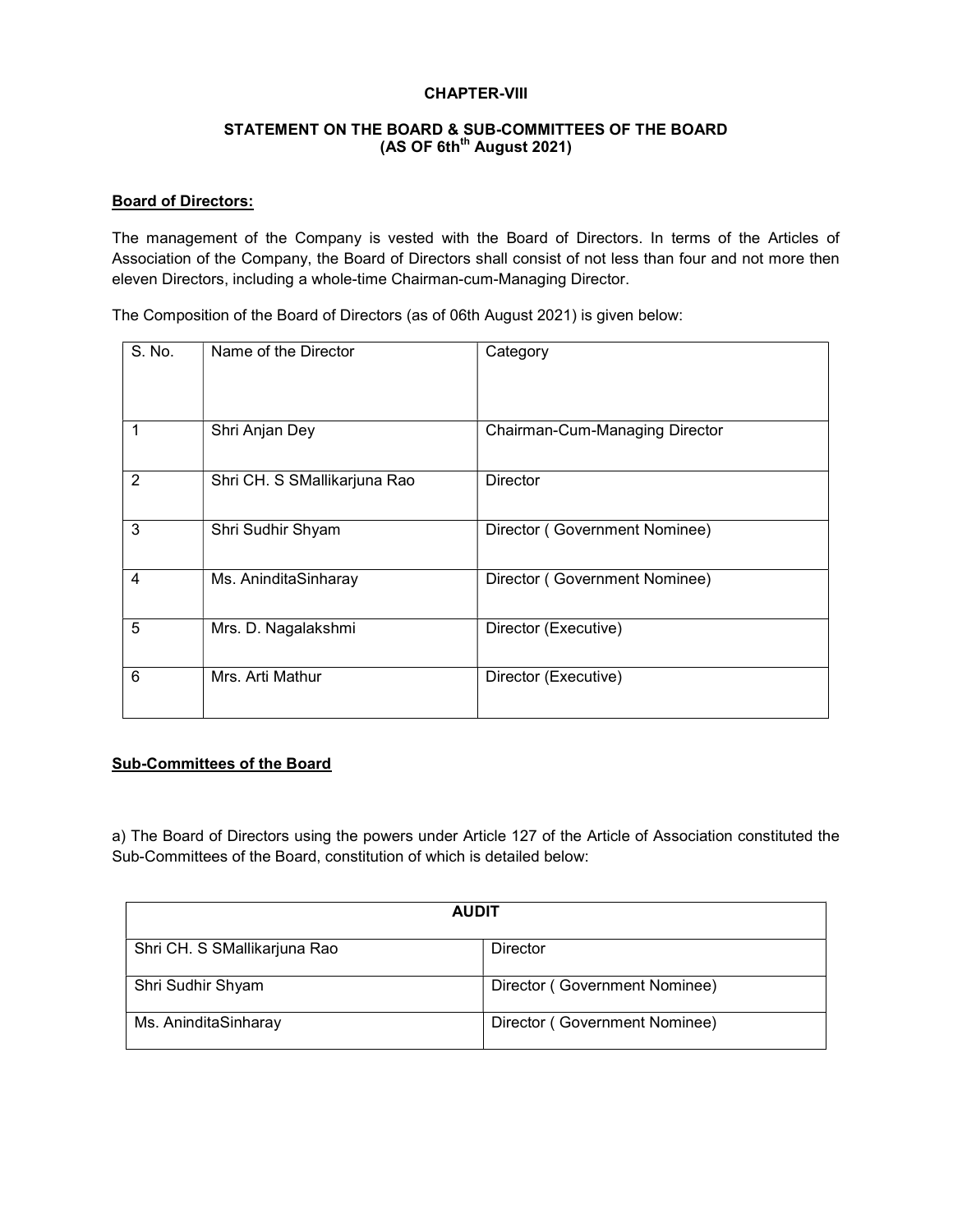#### CHAPTER-VIII

#### STATEMENT ON THE BOARD & SUB-COMMITTEES OF THE BOARD  $(AS OF 6th<sup>th</sup> August 2021)$

#### Board of Directors:

The management of the Company is vested with the Board of Directors. In terms of the Articles of Association of the Company, the Board of Directors shall consist of not less than four and not more then eleven Directors, including a whole-time Chairman-cum-Managing Director.

The Composition of the Board of Directors (as of 06th August 2021) is given below:

| S. No.         | Name of the Director         | Category                       |
|----------------|------------------------------|--------------------------------|
| 1              | Shri Anjan Dey               | Chairman-Cum-Managing Director |
| $\overline{2}$ | Shri CH. S SMallikarjuna Rao | <b>Director</b>                |
| 3              | Shri Sudhir Shyam            | Director (Government Nominee)  |
| 4              | Ms. AninditaSinharay         | Director (Government Nominee)  |
| 5              | Mrs. D. Nagalakshmi          | Director (Executive)           |
| 6              | Mrs. Arti Mathur             | Director (Executive)           |

#### Sub-Committees of the Board

a) The Board of Directors using the powers under Article 127 of the Article of Association constituted the Sub-Committees of the Board, constitution of which is detailed below:

| <b>AUDIT</b>                 |                               |
|------------------------------|-------------------------------|
| Shri CH. S SMallikarjuna Rao | Director                      |
| Shri Sudhir Shyam            | Director (Government Nominee) |
| Ms. AninditaSinharay         | Director (Government Nominee) |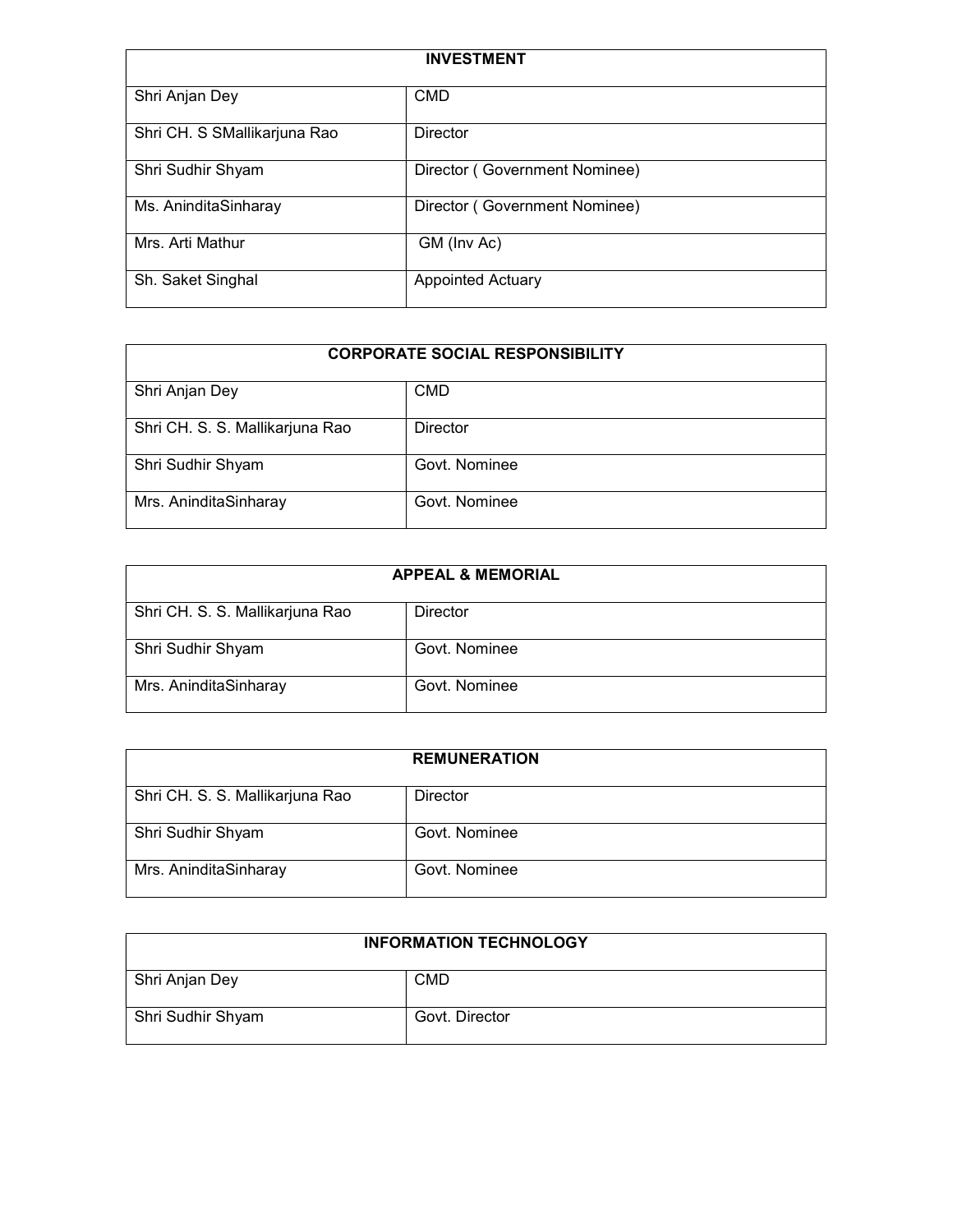| <b>INVESTMENT</b>            |                               |
|------------------------------|-------------------------------|
| Shri Anjan Dey               | <b>CMD</b>                    |
| Shri CH. S SMallikarjuna Rao | <b>Director</b>               |
| Shri Sudhir Shyam            | Director (Government Nominee) |
| Ms. AninditaSinharay         | Director (Government Nominee) |
| Mrs. Arti Mathur             | GM (Inv Ac)                   |
| Sh. Saket Singhal            | <b>Appointed Actuary</b>      |

# CORPORATE SOCIAL RESPONSIBILITY

| Shri Anjan Dey                  | <b>CMD</b>      |
|---------------------------------|-----------------|
|                                 |                 |
| Shri CH. S. S. Mallikarjuna Rao | <b>Director</b> |
| Shri Sudhir Shyam               | Govt. Nominee   |
| Mrs. AninditaSinharay           | Govt. Nominee   |

| <b>APPEAL &amp; MEMORIAL</b>    |               |  |
|---------------------------------|---------------|--|
| Shri CH. S. S. Mallikarjuna Rao | Director      |  |
| Shri Sudhir Shyam               | Govt. Nominee |  |
| Mrs. AninditaSinharay           | Govt. Nominee |  |

|                                 | <b>REMUNERATION</b> |
|---------------------------------|---------------------|
| Shri CH. S. S. Mallikarjuna Rao | Director            |
| Shri Sudhir Shyam               | Govt. Nominee       |
| Mrs. AninditaSinharay           | Govt. Nominee       |

| <b>INFORMATION TECHNOLOGY</b> |                |
|-------------------------------|----------------|
| Shri Anjan Dey                | <b>CMD</b>     |
| Shri Sudhir Shyam             | Govt. Director |